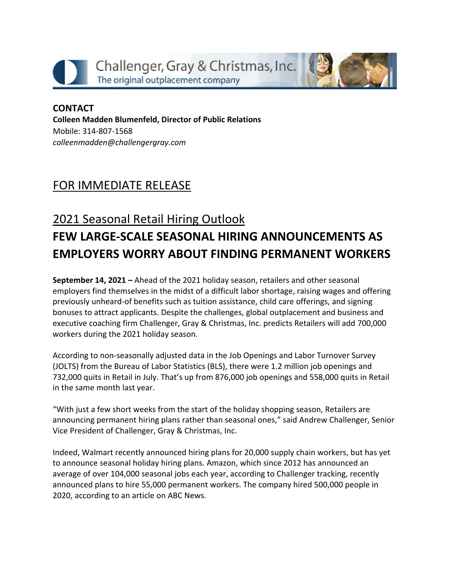



## **CONTACT Colleen Madden Blumenfeld, Director of Public Relations** Mobile: 314-807-1568 *[colleenmadden@challengergray.com](mailto:colleenmadden@challengergray.com)*

## FOR IMMEDIATE RELEASE

## 2021 Seasonal Retail Hiring Outlook **FEW LARGE-SCALE SEASONAL HIRING ANNOUNCEMENTS AS EMPLOYERS WORRY ABOUT FINDING PERMANENT WORKERS**

**September 14, 2021 –** Ahead of the 2021 holiday season, retailers and other seasonal employers find themselves in the midst of a difficult labor shortage, raising wages and offering previously unheard-of benefits such as tuition assistance, child care offerings, and signing bonuses to attract applicants. Despite the challenges, global outplacement and business and executive coaching firm Challenger, Gray & Christmas, Inc. predicts Retailers will add 700,000 workers during the 2021 holiday season.

According to non-seasonally adjusted data in the Job Openings and Labor Turnover Survey (JOLTS) from the Bureau of Labor Statistics (BLS), there were 1.2 million job openings and 732,000 quits in Retail in July. That's up from 876,000 job openings and 558,000 quits in Retail in the same month last year.

"With just a few short weeks from the start of the holiday shopping season, Retailers are announcing permanent hiring plans rather than seasonal ones," said Andrew Challenger, Senior Vice President of Challenger, Gray & Christmas, Inc.

Indeed, Walmart recently announced hiring plans for 20,000 supply chain workers, but has yet to announce seasonal holiday hiring plans. Amazon, which since 2012 has announced an average of over 104,000 seasonal jobs each year, according to Challenger tracking, recently announced plans to hire 55,000 permanent workers. The company hired 500,000 people in 2020, according to an article on ABC News.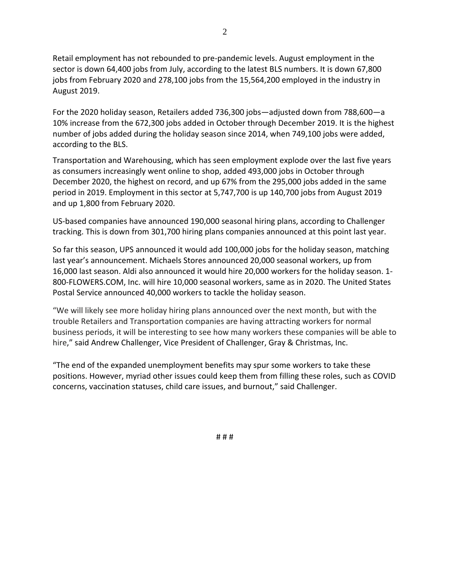Retail employment has not rebounded to pre-pandemic levels. August employment in the sector is down 64,400 jobs from July, according to the latest BLS numbers. It is down 67,800 jobs from February 2020 and 278,100 jobs from the 15,564,200 employed in the industry in August 2019.

For the 2020 holiday season, Retailers added 736,300 jobs—adjusted down from 788,600—a 10% increase from the 672,300 jobs added in October through December 2019. It is the highest number of jobs added during the holiday season since 2014, when 749,100 jobs were added, according to the BLS.

Transportation and Warehousing, which has seen employment explode over the last five years as consumers increasingly went online to shop, added 493,000 jobs in October through December 2020, the highest on record, and up 67% from the 295,000 jobs added in the same period in 2019. Employment in this sector at 5,747,700 is up 140,700 jobs from August 2019 and up 1,800 from February 2020.

US-based companies have announced 190,000 seasonal hiring plans, according to Challenger tracking. This is down from 301,700 hiring plans companies announced at this point last year.

So far this season, UPS announced it would add 100,000 jobs for the holiday season, matching last year's announcement. Michaels Stores announced 20,000 seasonal workers, up from 16,000 last season. Aldi also announced it would hire 20,000 workers for the holiday season. 1- 800-FLOWERS.COM, Inc. will hire 10,000 seasonal workers, same as in 2020. The United States Postal Service announced 40,000 workers to tackle the holiday season.

"We will likely see more holiday hiring plans announced over the next month, but with the trouble Retailers and Transportation companies are having attracting workers for normal business periods, it will be interesting to see how many workers these companies will be able to hire," said Andrew Challenger, Vice President of Challenger, Gray & Christmas, Inc.

"The end of the expanded unemployment benefits may spur some workers to take these positions. However, myriad other issues could keep them from filling these roles, such as COVID concerns, vaccination statuses, child care issues, and burnout," said Challenger.

2

# # #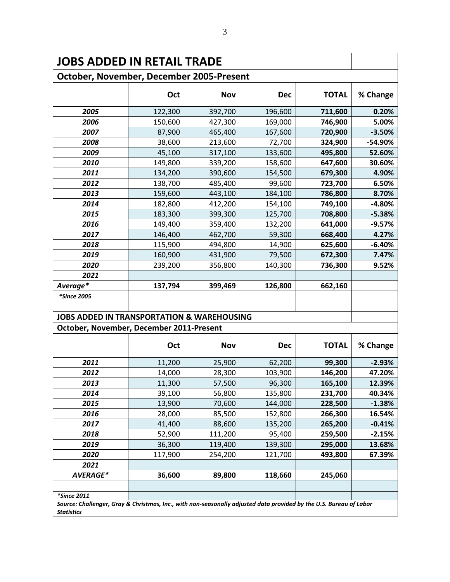| <b>JOBS ADDED IN RETAIL TRADE</b>                                                                                                       |         |            |            |              |          |  |  |  |  |  |  |  |
|-----------------------------------------------------------------------------------------------------------------------------------------|---------|------------|------------|--------------|----------|--|--|--|--|--|--|--|
| October, November, December 2005-Present                                                                                                |         |            |            |              |          |  |  |  |  |  |  |  |
|                                                                                                                                         | Oct     | <b>Nov</b> | <b>Dec</b> | <b>TOTAL</b> | % Change |  |  |  |  |  |  |  |
| 2005                                                                                                                                    | 122,300 | 392,700    | 196,600    | 711,600      | 0.20%    |  |  |  |  |  |  |  |
| 2006                                                                                                                                    | 150,600 | 427,300    | 169,000    | 746,900      | 5.00%    |  |  |  |  |  |  |  |
| 2007                                                                                                                                    | 87,900  | 465,400    | 167,600    | 720,900      | $-3.50%$ |  |  |  |  |  |  |  |
| 2008                                                                                                                                    | 38,600  | 213,600    | 72,700     | 324,900      | -54.90%  |  |  |  |  |  |  |  |
| 2009                                                                                                                                    | 45,100  | 317,100    | 133,600    | 495,800      | 52.60%   |  |  |  |  |  |  |  |
| 2010                                                                                                                                    | 149,800 | 339,200    | 158,600    | 647,600      | 30.60%   |  |  |  |  |  |  |  |
| 2011                                                                                                                                    | 134,200 | 390,600    | 154,500    | 679,300      | 4.90%    |  |  |  |  |  |  |  |
| 2012                                                                                                                                    | 138,700 | 485,400    | 99,600     | 723,700      | 6.50%    |  |  |  |  |  |  |  |
| 2013                                                                                                                                    | 159,600 | 443,100    | 184,100    | 786,800      | 8.70%    |  |  |  |  |  |  |  |
| 2014                                                                                                                                    | 182,800 | 412,200    | 154,100    | 749,100      | $-4.80%$ |  |  |  |  |  |  |  |
| 2015                                                                                                                                    | 183,300 | 399,300    | 125,700    | 708,800      | $-5.38%$ |  |  |  |  |  |  |  |
| 2016                                                                                                                                    | 149,400 | 359,400    | 132,200    | 641,000      | $-9.57%$ |  |  |  |  |  |  |  |
| 2017                                                                                                                                    | 146,400 | 462,700    | 59,300     | 668,400      | 4.27%    |  |  |  |  |  |  |  |
| 2018                                                                                                                                    | 115,900 | 494,800    | 14,900     | 625,600      | $-6.40%$ |  |  |  |  |  |  |  |
| 2019                                                                                                                                    | 160,900 | 431,900    | 79,500     | 672,300      | 7.47%    |  |  |  |  |  |  |  |
| 2020                                                                                                                                    | 239,200 | 356,800    | 140,300    | 736,300      | 9.52%    |  |  |  |  |  |  |  |
| 2021                                                                                                                                    |         |            |            |              |          |  |  |  |  |  |  |  |
| Average*                                                                                                                                | 137,794 | 399,469    | 126,800    | 662,160      |          |  |  |  |  |  |  |  |
| *Since 2005                                                                                                                             |         |            |            |              |          |  |  |  |  |  |  |  |
|                                                                                                                                         |         |            |            |              |          |  |  |  |  |  |  |  |
| <b>JOBS ADDED IN TRANSPORTATION &amp; WAREHOUSING</b>                                                                                   |         |            |            |              |          |  |  |  |  |  |  |  |
| October, November, December 2011-Present                                                                                                |         |            |            |              |          |  |  |  |  |  |  |  |
|                                                                                                                                         | Oct     | <b>Nov</b> | <b>Dec</b> | <b>TOTAL</b> | % Change |  |  |  |  |  |  |  |
| 2011                                                                                                                                    | 11,200  | 25,900     | 62,200     | 99,300       | $-2.93%$ |  |  |  |  |  |  |  |
| 2012                                                                                                                                    | 14,000  | 28,300     | 103,900    | 146,200      | 47.20%   |  |  |  |  |  |  |  |
| 2013                                                                                                                                    | 11,300  | 57,500     | 96,300     | 165,100      | 12.39%   |  |  |  |  |  |  |  |
| 2014                                                                                                                                    | 39,100  | 56,800     | 135,800    | 231,700      | 40.34%   |  |  |  |  |  |  |  |
| 2015                                                                                                                                    | 13,900  | 70,600     | 144,000    | 228,500      | $-1.38%$ |  |  |  |  |  |  |  |
| 2016                                                                                                                                    | 28,000  | 85,500     | 152,800    | 266,300      | 16.54%   |  |  |  |  |  |  |  |
| 2017                                                                                                                                    | 41,400  | 88,600     | 135,200    | 265,200      | $-0.41%$ |  |  |  |  |  |  |  |
| 2018                                                                                                                                    | 52,900  | 111,200    | 95,400     | 259,500      | $-2.15%$ |  |  |  |  |  |  |  |
| 2019                                                                                                                                    | 36,300  | 119,400    | 139,300    | 295,000      | 13.68%   |  |  |  |  |  |  |  |
| 2020                                                                                                                                    | 117,900 | 254,200    | 121,700    | 493,800      | 67.39%   |  |  |  |  |  |  |  |
| 2021                                                                                                                                    |         |            |            |              |          |  |  |  |  |  |  |  |
| AVERAGE*                                                                                                                                | 36,600  | 89,800     | 118,660    | 245,060      |          |  |  |  |  |  |  |  |
|                                                                                                                                         |         |            |            |              |          |  |  |  |  |  |  |  |
| *Since 2011                                                                                                                             |         |            |            |              |          |  |  |  |  |  |  |  |
| Source: Challenger, Gray & Christmas, Inc., with non-seasonally adjusted data provided by the U.S. Bureau of Labor<br><b>Statistics</b> |         |            |            |              |          |  |  |  |  |  |  |  |